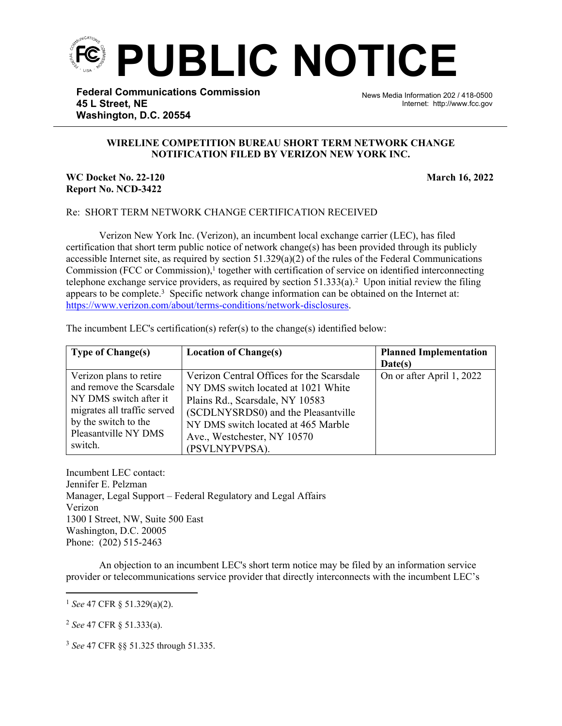

**Federal Communications Commission 45 L Street, NE Washington, D.C. 20554**

News Media Information 202 / 418-0500 Internet: http://www.fcc.gov

## **WIRELINE COMPETITION BUREAU SHORT TERM NETWORK CHANGE NOTIFICATION FILED BY VERIZON NEW YORK INC.**

֡֡֡֡

## **WC Docket No. 22-120 March 16, 2022 Report No. NCD-3422**

## Re: SHORT TERM NETWORK CHANGE CERTIFICATION RECEIVED

Verizon New York Inc. (Verizon), an incumbent local exchange carrier (LEC), has filed certification that short term public notice of network change(s) has been provided through its publicly accessible Internet site, as required by section  $51.329(a)(2)$  of the rules of the Federal Communications Commission (FCC or Commission),<sup>1</sup> together with certification of service on identified interconnecting telephone exchange service providers, as required by section  $51.333(a)$ .<sup>2</sup> Upon initial review the filing appears to be complete.<sup>3</sup> Specific network change information can be obtained on the Internet at: [https://www.verizon.com/about/terms-conditions/network-disclosures.](https://www.verizon.com/about/terms-conditions/network-disclosures)

| <b>Type of Change(s)</b>                                                                                                                                                | <b>Location of Change(s)</b>                                                                                                                                                                                                                       | <b>Planned Implementation</b><br>Date(s) |
|-------------------------------------------------------------------------------------------------------------------------------------------------------------------------|----------------------------------------------------------------------------------------------------------------------------------------------------------------------------------------------------------------------------------------------------|------------------------------------------|
| Verizon plans to retire<br>and remove the Scarsdale<br>NY DMS switch after it<br>migrates all traffic served<br>by the switch to the<br>Pleasantville NY DMS<br>switch. | Verizon Central Offices for the Scarsdale<br>NY DMS switch located at 1021 White<br>Plains Rd., Scarsdale, NY 10583<br>(SCDLNYSRDS0) and the Pleasantville<br>NY DMS switch located at 465 Marble<br>Ave., Westchester, NY 10570<br>(PSVLNYPVPSA). | On or after April 1, 2022                |

The incumbent LEC's certification(s) refer(s) to the change(s) identified below:

Incumbent LEC contact: Jennifer E. Pelzman Manager, Legal Support – Federal Regulatory and Legal Affairs Verizon 1300 I Street, NW, Suite 500 East Washington, D.C. 20005 Phone: (202) 515-2463

An objection to an incumbent LEC's short term notice may be filed by an information service provider or telecommunications service provider that directly interconnects with the incumbent LEC's

<sup>2</sup> *See* 47 CFR § 51.333(a).

<sup>3</sup> *See* 47 CFR §§ 51.325 through 51.335.

<sup>1</sup> *See* 47 CFR § 51.329(a)(2).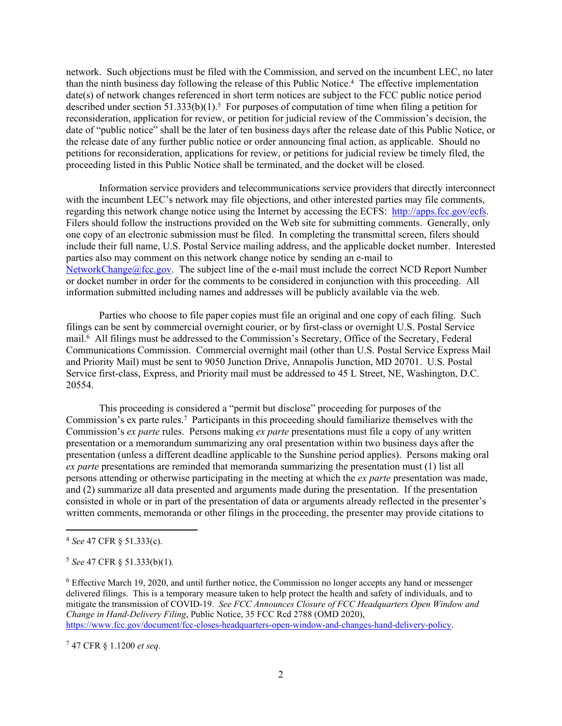network. Such objections must be filed with the Commission, and served on the incumbent LEC, no later than the ninth business day following the release of this Public Notice.<sup>4</sup> The effective implementation date(s) of network changes referenced in short term notices are subject to the FCC public notice period described under section  $51.333(b)(1)$ .<sup>5</sup> For purposes of computation of time when filing a petition for reconsideration, application for review, or petition for judicial review of the Commission's decision, the date of "public notice" shall be the later of ten business days after the release date of this Public Notice, or the release date of any further public notice or order announcing final action, as applicable. Should no petitions for reconsideration, applications for review, or petitions for judicial review be timely filed, the proceeding listed in this Public Notice shall be terminated, and the docket will be closed.

Information service providers and telecommunications service providers that directly interconnect with the incumbent LEC's network may file objections, and other interested parties may file comments, regarding this network change notice using the Internet by accessing the ECFS: [http://apps.fcc.gov/ecfs.](http://apps.fcc.gov/ecfs) Filers should follow the instructions provided on the Web site for submitting comments. Generally, only one copy of an electronic submission must be filed. In completing the transmittal screen, filers should include their full name, U.S. Postal Service mailing address, and the applicable docket number. Interested parties also may comment on this network change notice by sending an e-mail to [NetworkChange@fcc.gov.](mailto:NetworkChange@fcc.gov) The subject line of the e-mail must include the correct NCD Report Number or docket number in order for the comments to be considered in conjunction with this proceeding. All information submitted including names and addresses will be publicly available via the web.

Parties who choose to file paper copies must file an original and one copy of each filing. Such filings can be sent by commercial overnight courier, or by first-class or overnight U.S. Postal Service mail.<sup>6</sup> All filings must be addressed to the Commission's Secretary, Office of the Secretary, Federal Communications Commission. Commercial overnight mail (other than U.S. Postal Service Express Mail and Priority Mail) must be sent to 9050 Junction Drive, Annapolis Junction, MD 20701. U.S. Postal Service first-class, Express, and Priority mail must be addressed to 45 L Street, NE, Washington, D.C. 20554.

This proceeding is considered a "permit but disclose" proceeding for purposes of the Commission's ex parte rules.<sup>7</sup> Participants in this proceeding should familiarize themselves with the Commission's *ex parte* rules. Persons making *ex parte* presentations must file a copy of any written presentation or a memorandum summarizing any oral presentation within two business days after the presentation (unless a different deadline applicable to the Sunshine period applies). Persons making oral *ex parte* presentations are reminded that memoranda summarizing the presentation must (1) list all persons attending or otherwise participating in the meeting at which the *ex parte* presentation was made, and (2) summarize all data presented and arguments made during the presentation. If the presentation consisted in whole or in part of the presentation of data or arguments already reflected in the presenter's written comments, memoranda or other filings in the proceeding, the presenter may provide citations to

<sup>7</sup> 47 CFR § 1.1200 *et seq*.

<sup>4</sup> *See* 47 CFR § 51.333(c).

<sup>5</sup> *See* 47 CFR § 51.333(b)(1).

<sup>6</sup> Effective March 19, 2020, and until further notice, the Commission no longer accepts any hand or messenger delivered filings. This is a temporary measure taken to help protect the health and safety of individuals, and to mitigate the transmission of COVID-19. *See FCC Announces Closure of FCC Headquarters Open Window and Change in Hand-Delivery Filing*, Public Notice, 35 FCC Rcd 2788 (OMD 2020), [https://www.fcc.gov/document/fcc-closes-headquarters-open-window-and-changes-hand-delivery-policy.](https://www.fcc.gov/document/fcc-closes-headquarters-open-window-and-changes-hand-delivery-policy)